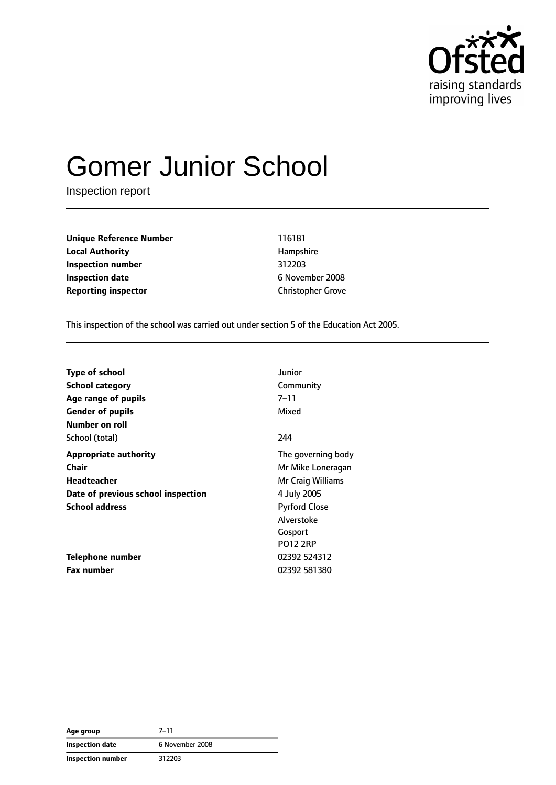

# Gomer Junior School

Inspection report

**Unique Reference Number** 116181 **Local Authority Hampshire Inspection number** 312203 **Inspection date** 6 November 2008 **Reporting inspector** Christopher Grove

This inspection of the school was carried out under section 5 of the Education Act 2005.

| <b>Type of school</b>              | Junior               |
|------------------------------------|----------------------|
| <b>School category</b>             | Community            |
| Age range of pupils                | $7 - 11$             |
| <b>Gender of pupils</b>            | Mixed                |
| Number on roll                     |                      |
| School (total)                     | 244                  |
| <b>Appropriate authority</b>       | The governing body   |
| Chair                              | Mr Mike Loneragan    |
| Headteacher                        | Mr Craig Williams    |
| Date of previous school inspection | 4 July 2005          |
| <b>School address</b>              | <b>Pyrford Close</b> |
|                                    | Alverstoke           |
|                                    | Gosport              |
|                                    | <b>PO12 2RP</b>      |
| Telephone number                   | 02392 524312         |
| <b>Fax number</b>                  | 02392 581380         |

| Age group                | $7 - 11$        |
|--------------------------|-----------------|
| <b>Inspection date</b>   | 6 November 2008 |
| <b>Inspection number</b> | 312203          |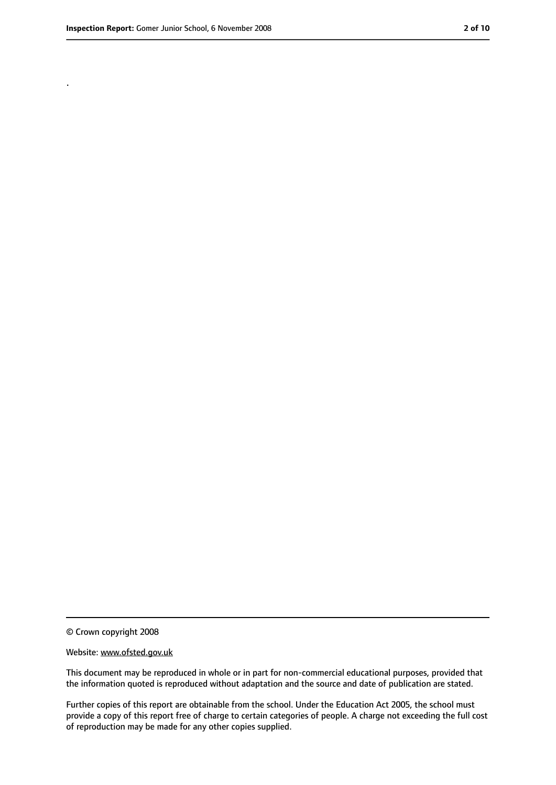.

<sup>©</sup> Crown copyright 2008

Website: www.ofsted.gov.uk

This document may be reproduced in whole or in part for non-commercial educational purposes, provided that the information quoted is reproduced without adaptation and the source and date of publication are stated.

Further copies of this report are obtainable from the school. Under the Education Act 2005, the school must provide a copy of this report free of charge to certain categories of people. A charge not exceeding the full cost of reproduction may be made for any other copies supplied.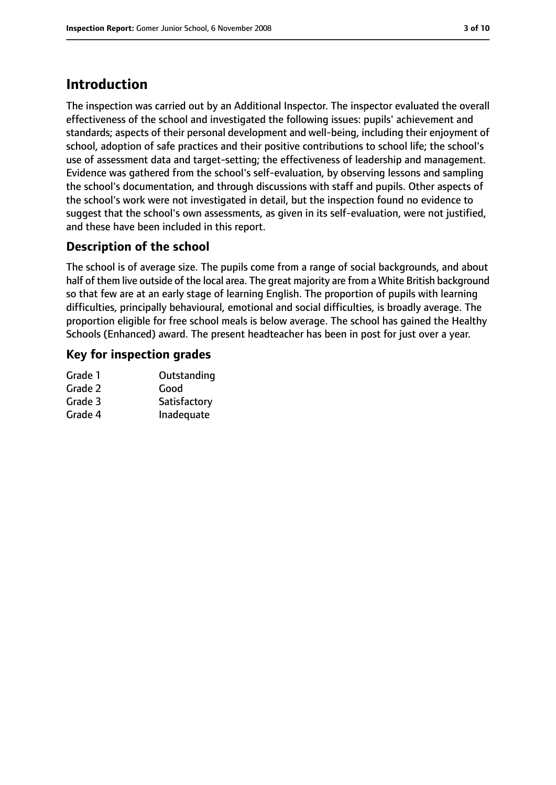# **Introduction**

The inspection was carried out by an Additional Inspector. The inspector evaluated the overall effectiveness of the school and investigated the following issues: pupils' achievement and standards; aspects of their personal development and well-being, including their enjoyment of school, adoption of safe practices and their positive contributions to school life; the school's use of assessment data and target-setting; the effectiveness of leadership and management. Evidence was gathered from the school's self-evaluation, by observing lessons and sampling the school's documentation, and through discussions with staff and pupils. Other aspects of the school's work were not investigated in detail, but the inspection found no evidence to suggest that the school's own assessments, as given in its self-evaluation, were not justified, and these have been included in this report.

### **Description of the school**

The school is of average size. The pupils come from a range of social backgrounds, and about half of them live outside of the local area. The great majority are from a White British background so that few are at an early stage of learning English. The proportion of pupils with learning difficulties, principally behavioural, emotional and social difficulties, is broadly average. The proportion eligible for free school meals is below average. The school has gained the Healthy Schools (Enhanced) award. The present headteacher has been in post for just over a year.

#### **Key for inspection grades**

| Grade 1 | Outstanding  |
|---------|--------------|
| Grade 2 | Good         |
| Grade 3 | Satisfactory |
| Grade 4 | Inadequate   |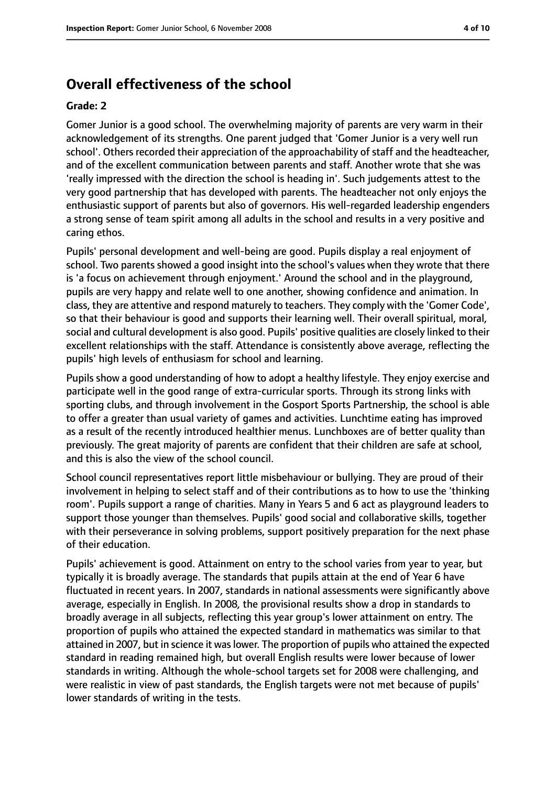# **Overall effectiveness of the school**

#### **Grade: 2**

Gomer Junior is a good school. The overwhelming majority of parents are very warm in their acknowledgement of its strengths. One parent judged that 'Gomer Junior is a very well run school'. Others recorded their appreciation of the approachability of staff and the headteacher, and of the excellent communication between parents and staff. Another wrote that she was 'really impressed with the direction the school is heading in'. Such judgements attest to the very good partnership that has developed with parents. The headteacher not only enjoys the enthusiastic support of parents but also of governors. His well-regarded leadership engenders a strong sense of team spirit among all adults in the school and results in a very positive and caring ethos.

Pupils' personal development and well-being are good. Pupils display a real enjoyment of school. Two parents showed a good insight into the school's values when they wrote that there is 'a focus on achievement through enjoyment.' Around the school and in the playground, pupils are very happy and relate well to one another, showing confidence and animation. In class, they are attentive and respond maturely to teachers. They comply with the 'Gomer Code', so that their behaviour is good and supports their learning well. Their overall spiritual, moral, social and cultural development is also good. Pupils' positive qualities are closely linked to their excellent relationships with the staff. Attendance is consistently above average, reflecting the pupils' high levels of enthusiasm for school and learning.

Pupils show a good understanding of how to adopt a healthy lifestyle. They enjoy exercise and participate well in the good range of extra-curricular sports. Through its strong links with sporting clubs, and through involvement in the Gosport Sports Partnership, the school is able to offer a greater than usual variety of games and activities. Lunchtime eating has improved as a result of the recently introduced healthier menus. Lunchboxes are of better quality than previously. The great majority of parents are confident that their children are safe at school, and this is also the view of the school council.

School council representatives report little misbehaviour or bullying. They are proud of their involvement in helping to select staff and of their contributions as to how to use the 'thinking room'. Pupils support a range of charities. Many in Years 5 and 6 act as playground leaders to support those younger than themselves. Pupils' good social and collaborative skills, together with their perseverance in solving problems, support positively preparation for the next phase of their education.

Pupils' achievement is good. Attainment on entry to the school varies from year to year, but typically it is broadly average. The standards that pupils attain at the end of Year 6 have fluctuated in recent years. In 2007, standards in national assessments were significantly above average, especially in English. In 2008, the provisional results show a drop in standards to broadly average in all subjects, reflecting this year group's lower attainment on entry. The proportion of pupils who attained the expected standard in mathematics was similar to that attained in 2007, but in science it was lower. The proportion of pupils who attained the expected standard in reading remained high, but overall English results were lower because of lower standards in writing. Although the whole-school targets set for 2008 were challenging, and were realistic in view of past standards, the English targets were not met because of pupils' lower standards of writing in the tests.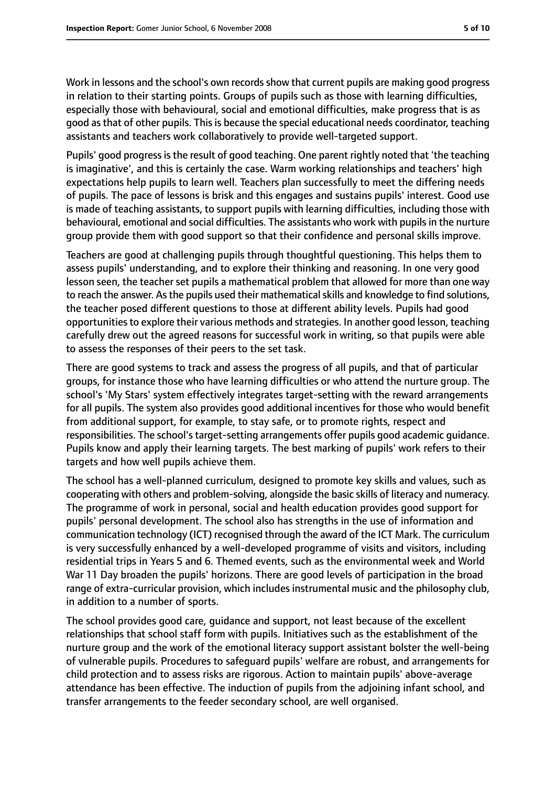Work in lessons and the school's own records show that current pupils are making good progress in relation to their starting points. Groups of pupils such as those with learning difficulties, especially those with behavioural, social and emotional difficulties, make progress that is as good as that of other pupils. This is because the special educational needs coordinator, teaching assistants and teachers work collaboratively to provide well-targeted support.

Pupils' good progress is the result of good teaching. One parent rightly noted that 'the teaching is imaginative', and this is certainly the case. Warm working relationships and teachers' high expectations help pupils to learn well. Teachers plan successfully to meet the differing needs of pupils. The pace of lessons is brisk and this engages and sustains pupils' interest. Good use is made of teaching assistants, to support pupils with learning difficulties, including those with behavioural, emotional and social difficulties. The assistants who work with pupils in the nurture group provide them with good support so that their confidence and personal skills improve.

Teachers are good at challenging pupils through thoughtful questioning. This helps them to assess pupils' understanding, and to explore their thinking and reasoning. In one very good lesson seen, the teacher set pupils a mathematical problem that allowed for more than one way to reach the answer. As the pupils used their mathematical skills and knowledge to find solutions, the teacher posed different questions to those at different ability levels. Pupils had good opportunitiesto explore their various methods and strategies. In another good lesson, teaching carefully drew out the agreed reasons for successful work in writing, so that pupils were able to assess the responses of their peers to the set task.

There are good systems to track and assess the progress of all pupils, and that of particular groups, for instance those who have learning difficulties or who attend the nurture group. The school's 'My Stars' system effectively integrates target-setting with the reward arrangements for all pupils. The system also provides good additional incentives for those who would benefit from additional support, for example, to stay safe, or to promote rights, respect and responsibilities. The school'starget-setting arrangements offer pupils good academic guidance. Pupils know and apply their learning targets. The best marking of pupils' work refers to their targets and how well pupils achieve them.

The school has a well-planned curriculum, designed to promote key skills and values, such as cooperating with others and problem-solving, alongside the basic skills of literacy and numeracy. The programme of work in personal, social and health education provides good support for pupils' personal development. The school also has strengths in the use of information and communication technology (ICT) recognised through the award of the ICT Mark. The curriculum is very successfully enhanced by a well-developed programme of visits and visitors, including residential trips in Years 5 and 6. Themed events, such as the environmental week and World War 11 Day broaden the pupils' horizons. There are good levels of participation in the broad range of extra-curricular provision, which includes instrumental music and the philosophy club, in addition to a number of sports.

The school provides good care, guidance and support, not least because of the excellent relationships that school staff form with pupils. Initiatives such as the establishment of the nurture group and the work of the emotional literacy support assistant bolster the well-being of vulnerable pupils. Procedures to safeguard pupils' welfare are robust, and arrangements for child protection and to assess risks are rigorous. Action to maintain pupils' above-average attendance has been effective. The induction of pupils from the adjoining infant school, and transfer arrangements to the feeder secondary school, are well organised.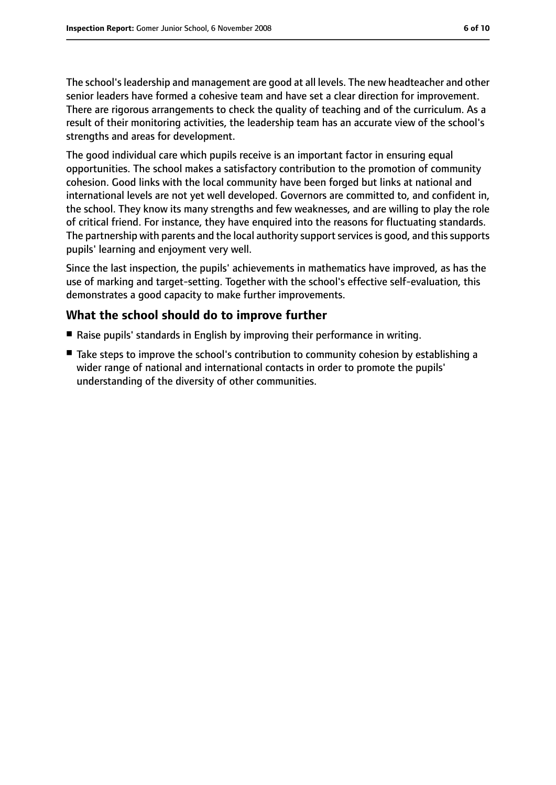The school's leadership and management are good at all levels. The new headteacher and other senior leaders have formed a cohesive team and have set a clear direction for improvement. There are rigorous arrangements to check the quality of teaching and of the curriculum. As a result of their monitoring activities, the leadership team has an accurate view of the school's strengths and areas for development.

The good individual care which pupils receive is an important factor in ensuring equal opportunities. The school makes a satisfactory contribution to the promotion of community cohesion. Good links with the local community have been forged but links at national and international levels are not yet well developed. Governors are committed to, and confident in, the school. They know its many strengths and few weaknesses, and are willing to play the role of critical friend. For instance, they have enquired into the reasons for fluctuating standards. The partnership with parents and the local authority support services is good, and this supports pupils' learning and enjoyment very well.

Since the last inspection, the pupils' achievements in mathematics have improved, as has the use of marking and target-setting. Together with the school's effective self-evaluation, this demonstrates a good capacity to make further improvements.

## **What the school should do to improve further**

- Raise pupils' standards in English by improving their performance in writing.
- Take steps to improve the school's contribution to community cohesion by establishing a wider range of national and international contacts in order to promote the pupils' understanding of the diversity of other communities.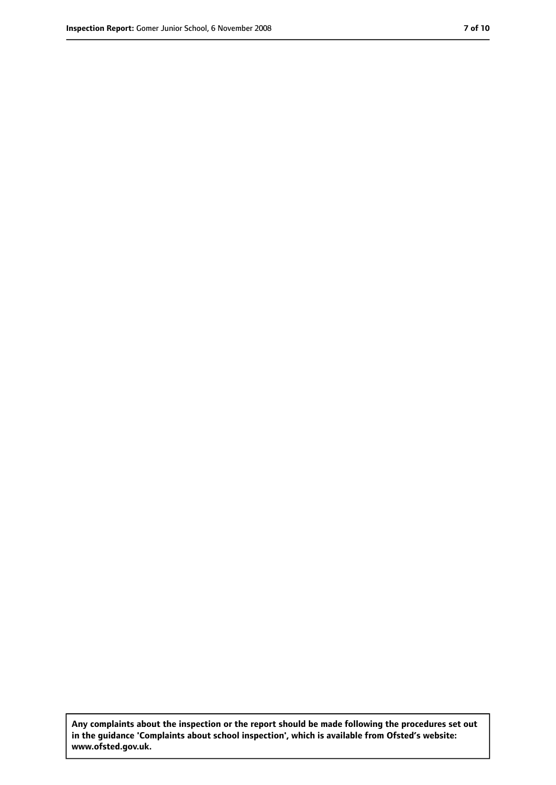**Any complaints about the inspection or the report should be made following the procedures set out in the guidance 'Complaints about school inspection', which is available from Ofsted's website: www.ofsted.gov.uk.**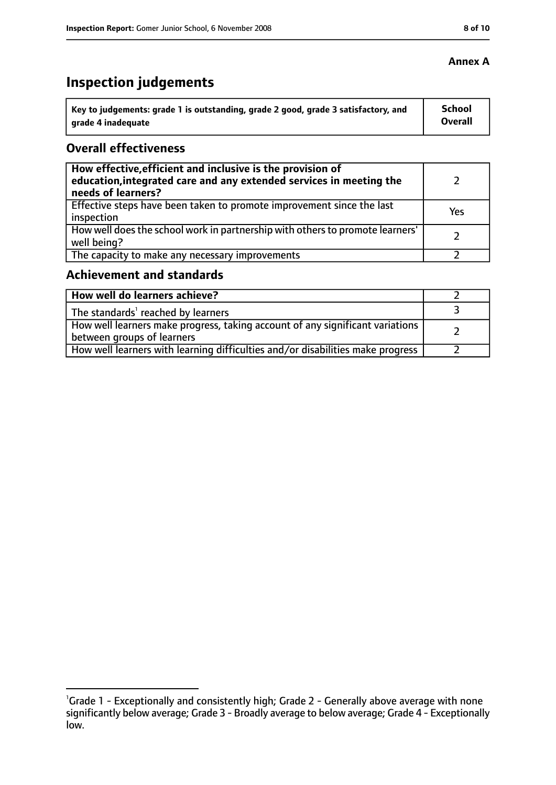#### **Annex A**

# **Inspection judgements**

| Key to judgements: grade 1 is outstanding, grade 2 good, grade 3 satisfactory, and | <b>School</b>  |
|------------------------------------------------------------------------------------|----------------|
| arade 4 inadequate                                                                 | <b>Overall</b> |

### **Overall effectiveness**

| How effective, efficient and inclusive is the provision of<br>education, integrated care and any extended services in meeting the<br>needs of learners? |     |
|---------------------------------------------------------------------------------------------------------------------------------------------------------|-----|
| Effective steps have been taken to promote improvement since the last<br>inspection                                                                     | Yes |
| How well does the school work in partnership with others to promote learners'<br>well being?                                                            |     |
| The capacity to make any necessary improvements                                                                                                         |     |

# **Achievement and standards**

| How well do learners achieve?                                                                                 |  |
|---------------------------------------------------------------------------------------------------------------|--|
| The standards <sup>1</sup> reached by learners                                                                |  |
| How well learners make progress, taking account of any significant variations  <br>between groups of learners |  |
| How well learners with learning difficulties and/or disabilities make progress                                |  |

<sup>&</sup>lt;sup>1</sup>Grade 1 - Exceptionally and consistently high; Grade 2 - Generally above average with none significantly below average; Grade 3 - Broadly average to below average; Grade 4 - Exceptionally low.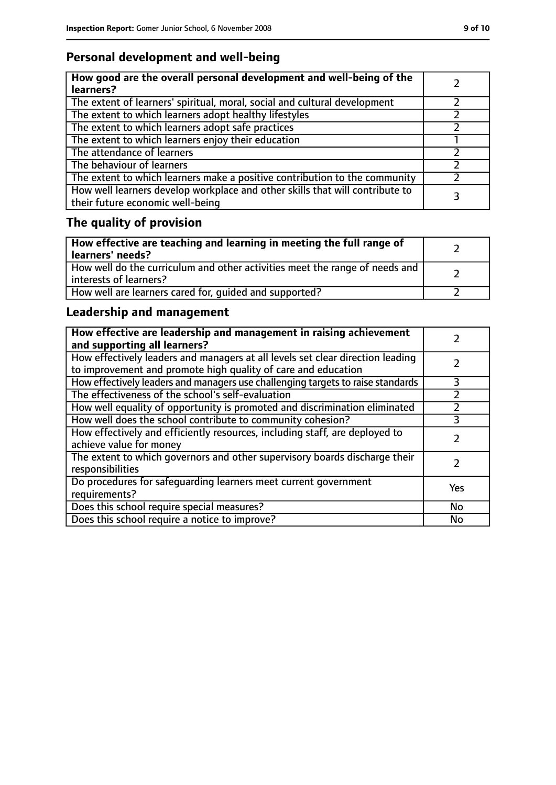## **Personal development and well-being**

| How good are the overall personal development and well-being of the<br>learners?                                 |  |
|------------------------------------------------------------------------------------------------------------------|--|
| The extent of learners' spiritual, moral, social and cultural development                                        |  |
| The extent to which learners adopt healthy lifestyles                                                            |  |
| The extent to which learners adopt safe practices                                                                |  |
| The extent to which learners enjoy their education                                                               |  |
| The attendance of learners                                                                                       |  |
| The behaviour of learners                                                                                        |  |
| The extent to which learners make a positive contribution to the community                                       |  |
| How well learners develop workplace and other skills that will contribute to<br>their future economic well-being |  |

# **The quality of provision**

| How effective are teaching and learning in meeting the full range of<br>learners' needs?              |  |
|-------------------------------------------------------------------------------------------------------|--|
| How well do the curriculum and other activities meet the range of needs and<br>interests of learners? |  |
| How well are learners cared for, quided and supported?                                                |  |

## **Leadership and management**

| How effective are leadership and management in raising achievement<br>and supporting all learners?                                              |     |
|-------------------------------------------------------------------------------------------------------------------------------------------------|-----|
| How effectively leaders and managers at all levels set clear direction leading<br>to improvement and promote high quality of care and education |     |
| How effectively leaders and managers use challenging targets to raise standards                                                                 | 3   |
| The effectiveness of the school's self-evaluation                                                                                               |     |
| How well equality of opportunity is promoted and discrimination eliminated                                                                      |     |
| How well does the school contribute to community cohesion?                                                                                      | 3   |
| How effectively and efficiently resources, including staff, are deployed to<br>achieve value for money                                          |     |
| The extent to which governors and other supervisory boards discharge their<br>responsibilities                                                  |     |
| Do procedures for safequarding learners meet current government<br>requirements?                                                                | Yes |
| Does this school require special measures?                                                                                                      | No  |
| Does this school require a notice to improve?                                                                                                   | No  |